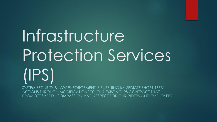# Infrastructure Protection Services (IPS)

SYSTEM SECURITY & LAW ENFORCEMENT IS PURSUING IMMEDIATE SHORT-TERM ACTIONS THROUGH MODIFICATIONS TO OUR EXISTING IPS CONTRACT THAT PROMOTE SAFETY, COMPASSION AND RESPECT FOR OUR RIDERS AND EMPLOYEES.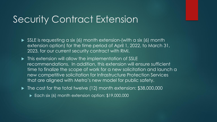#### Security Contract Extension

- SSLE is requesting a six (6) month extension-(with a six (6) month extension option) for the time period of April 1, 2022, to March 31, 2023, for our current security contract with RMI.
- $\blacktriangleright$  This extension will allow the implementation of SSLE recommendations. In addition, this extension will ensure sufficient time to finalize the scope of work for a new solicitation and launch a new competitive solicitation for Infrastructure Protection Services that are aligned with Metro's new model for public safety.
- ▶ The cost for the total twelve (12) month extension: \$38,000,000
	- Each six (6) month extension option: \$19,000,000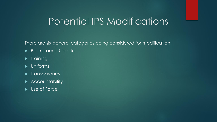#### Potential IPS Modifications

There are six general categories being considered for modification:

- Background Checks
- $\blacktriangleright$  Training
- $\blacktriangleright$  Uniforms
- $\blacktriangleright$  Transparency
- **Accountability**
- ▶ Use of Force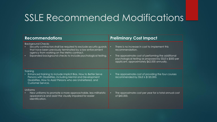## SSLE Recommended Modifications

| <b>Recommendations</b>                                                                                                                                                                                                                                                   | <b>Preliminary Cost Impact</b>                                                                                                                                                                                                                            |
|--------------------------------------------------------------------------------------------------------------------------------------------------------------------------------------------------------------------------------------------------------------------------|-----------------------------------------------------------------------------------------------------------------------------------------------------------------------------------------------------------------------------------------------------------|
| <b>Background Checks</b><br>Security contractors shall be required to exclude security guards<br>that have been previously terminated by a law enforcement<br>agency from working on the Metro contract.<br>Expanded background checks to include psychological testing. | There is no increase in cost to implement this<br>$\bullet$<br>recommendation.<br>The approximate cost of performing the additional<br>$\bullet$<br>psychological testing as proposed by SSLE is \$500 per<br>applicant, approximately \$62,000 annually. |
| <b>Training</b><br>• Enhanced training to include Implicit Bias, How to Better Serve<br>Persons with Disabilities, including Mental and Development<br>Disabilities, How to Assist Persons who are Unsheltered, and<br>Customer Service.                                 | The approximate cost of providing the four courses<br>$\bullet$<br>recommended by SSLE is \$120,000.                                                                                                                                                      |
| Uniforms<br>New uniforms to promote a more approachable, less militaristic<br>appearance and assist the visually impaired for easier<br>identification.                                                                                                                  | The approximate cost per year for a total annual cost<br>$\bullet$<br>of \$40,000.                                                                                                                                                                        |